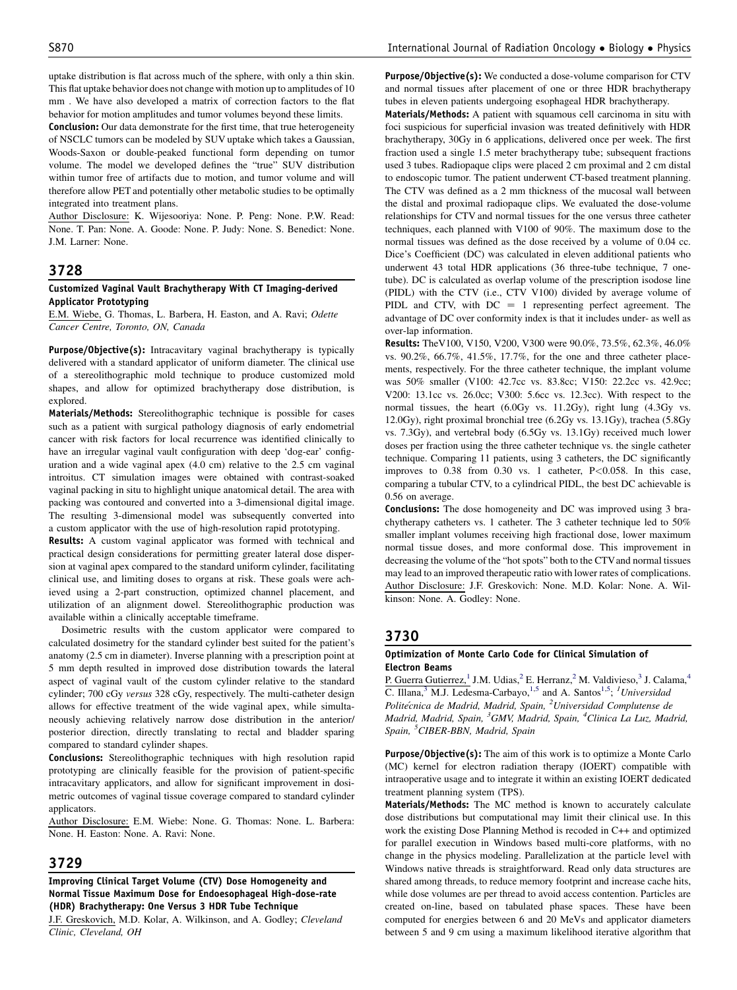uptake distribution is flat across much of the sphere, with only a thin skin. This flat uptake behavior does not change with motion up to amplitudes of 10 mm . We have also developed a matrix of correction factors to the flat behavior for motion amplitudes and tumor volumes beyond these limits.

Conclusion: Our data demonstrate for the first time, that true heterogeneity of NSCLC tumors can be modeled by SUV uptake which takes a Gaussian, Woods-Saxon or double-peaked functional form depending on tumor volume. The model we developed defines the "true" SUV distribution within tumor free of artifacts due to motion, and tumor volume and will therefore allow PET and potentially other metabolic studies to be optimally integrated into treatment plans.

Author Disclosure: K. Wijesooriya: None. P. Peng: None. P.W. Read: None. T. Pan: None. A. Goode: None. P. Judy: None. S. Benedict: None. J.M. Larner: None.

## 3728

#### Customized Vaginal Vault Brachytherapy With CT Imaging-derived Applicator Prototyping

E.M. Wiebe, G. Thomas, L. Barbera, H. Easton, and A. Ravi; Odette Cancer Centre, Toronto, ON, Canada

Purpose/Objective(s): Intracavitary vaginal brachytherapy is typically delivered with a standard applicator of uniform diameter. The clinical use of a stereolithographic mold technique to produce customized mold shapes, and allow for optimized brachytherapy dose distribution, is explored.

Materials/Methods: Stereolithographic technique is possible for cases such as a patient with surgical pathology diagnosis of early endometrial cancer with risk factors for local recurrence was identified clinically to have an irregular vaginal vault configuration with deep 'dog-ear' configuration and a wide vaginal apex (4.0 cm) relative to the 2.5 cm vaginal introitus. CT simulation images were obtained with contrast-soaked vaginal packing in situ to highlight unique anatomical detail. The area with packing was contoured and converted into a 3-dimensional digital image. The resulting 3-dimensional model was subsequently converted into a custom applicator with the use of high-resolution rapid prototyping.

Results: A custom vaginal applicator was formed with technical and practical design considerations for permitting greater lateral dose dispersion at vaginal apex compared to the standard uniform cylinder, facilitating clinical use, and limiting doses to organs at risk. These goals were achieved using a 2-part construction, optimized channel placement, and utilization of an alignment dowel. Stereolithographic production was available within a clinically acceptable timeframe.

Dosimetric results with the custom applicator were compared to calculated dosimetry for the standard cylinder best suited for the patient's anatomy (2.5 cm in diameter). Inverse planning with a prescription point at 5 mm depth resulted in improved dose distribution towards the lateral aspect of vaginal vault of the custom cylinder relative to the standard cylinder; 700 cGy versus 328 cGy, respectively. The multi-catheter design allows for effective treatment of the wide vaginal apex, while simultaneously achieving relatively narrow dose distribution in the anterior/ posterior direction, directly translating to rectal and bladder sparing compared to standard cylinder shapes.

Conclusions: Stereolithographic techniques with high resolution rapid prototyping are clinically feasible for the provision of patient-specific intracavitary applicators, and allow for significant improvement in dosimetric outcomes of vaginal tissue coverage compared to standard cylinder applicators.

Author Disclosure: E.M. Wiebe: None. G. Thomas: None. L. Barbera: None. H. Easton: None. A. Ravi: None.

#### 3729

Improving Clinical Target Volume (CTV) Dose Homogeneity and Normal Tissue Maximum Dose for Endoesophageal High-dose-rate (HDR) Brachytherapy: One Versus 3 HDR Tube Technique J.F. Greskovich, M.D. Kolar, A. Wilkinson, and A. Godley; Cleveland Clinic, Cleveland, OH

Purpose/Objective(s): We conducted a dose-volume comparison for CTV and normal tissues after placement of one or three HDR brachytherapy tubes in eleven patients undergoing esophageal HDR brachytherapy.

Materials/Methods: A patient with squamous cell carcinoma in situ with foci suspicious for superficial invasion was treated definitively with HDR brachytherapy, 30Gy in 6 applications, delivered once per week. The first fraction used a single 1.5 meter brachytherapy tube; subsequent fractions used 3 tubes. Radiopaque clips were placed 2 cm proximal and 2 cm distal to endoscopic tumor. The patient underwent CT-based treatment planning. The CTV was defined as a 2 mm thickness of the mucosal wall between the distal and proximal radiopaque clips. We evaluated the dose-volume relationships for CTV and normal tissues for the one versus three catheter techniques, each planned with V100 of 90%. The maximum dose to the normal tissues was defined as the dose received by a volume of 0.04 cc. Dice's Coefficient (DC) was calculated in eleven additional patients who underwent 43 total HDR applications (36 three-tube technique, 7 onetube). DC is calculated as overlap volume of the prescription isodose line (PIDL) with the CTV (i.e., CTV V100) divided by average volume of PIDL and CTV, with  $DC = 1$  representing perfect agreement. The advantage of DC over conformity index is that it includes under- as well as over-lap information.

Results: TheV100, V150, V200, V300 were 90.0%, 73.5%, 62.3%, 46.0% vs. 90.2%, 66.7%, 41.5%, 17.7%, for the one and three catheter placements, respectively. For the three catheter technique, the implant volume was 50% smaller (V100: 42.7cc vs. 83.8cc; V150: 22.2cc vs. 42.9cc; V200: 13.1cc vs. 26.0cc; V300: 5.6cc vs. 12.3cc). With respect to the normal tissues, the heart (6.0Gy vs. 11.2Gy), right lung (4.3Gy vs. 12.0Gy), right proximal bronchial tree (6.2Gy vs. 13.1Gy), trachea (5.8Gy vs. 7.3Gy), and vertebral body (6.5Gy vs. 13.1Gy) received much lower doses per fraction using the three catheter technique vs. the single catheter technique. Comparing 11 patients, using 3 catheters, the DC significantly improves to 0.38 from 0.30 vs. 1 catheter, P<0.058. In this case, comparing a tubular CTV, to a cylindrical PIDL, the best DC achievable is 0.56 on average.

Conclusions: The dose homogeneity and DC was improved using 3 brachytherapy catheters vs. 1 catheter. The 3 catheter technique led to 50% smaller implant volumes receiving high fractional dose, lower maximum normal tissue doses, and more conformal dose. This improvement in decreasing the volume of the "hot spots" both to the CTVand normal tissues may lead to an improved therapeutic ratio with lower rates of complications. Author Disclosure: J.F. Greskovich: None. M.D. Kolar: None. A. Wilkinson: None. A. Godley: None.

### 3730

#### Optimization of Monte Carlo Code for Clinical Simulation of Electron Beams

P. Guerra Gutierrez,<sup>1</sup> J.M. Udias,<sup>2</sup> E. Herranz,<sup>2</sup> M. Valdivieso,<sup>3</sup> J. Calama,<sup>4</sup> C. Illana,  $3$  M.J. Ledesma-Carbayo,  $1.5$  and A. Santos  $1.5$ ; *<sup>1</sup>Universidad* Politécnica de Madrid, Madrid, Spain, <sup>2</sup>Universidad Complutense de Madrid, Madrid, Spain, <sup>3</sup>GMV, Madrid, Spain, <sup>4</sup>Clinica La Luz, Madrid, Spain, <sup>5</sup>CIBER-BBN, Madrid, Spain

Purpose/Objective(s): The aim of this work is to optimize a Monte Carlo (MC) kernel for electron radiation therapy (IOERT) compatible with intraoperative usage and to integrate it within an existing IOERT dedicated treatment planning system (TPS).

Materials/Methods: The MC method is known to accurately calculate dose distributions but computational may limit their clinical use. In this work the existing Dose Planning Method is recoded in C++ and optimized for parallel execution in Windows based multi-core platforms, with no change in the physics modeling. Parallelization at the particle level with Windows native threads is straightforward. Read only data structures are shared among threads, to reduce memory footprint and increase cache hits, while dose volumes are per thread to avoid access contention. Particles are created on-line, based on tabulated phase spaces. These have been computed for energies between 6 and 20 MeVs and applicator diameters between 5 and 9 cm using a maximum likelihood iterative algorithm that